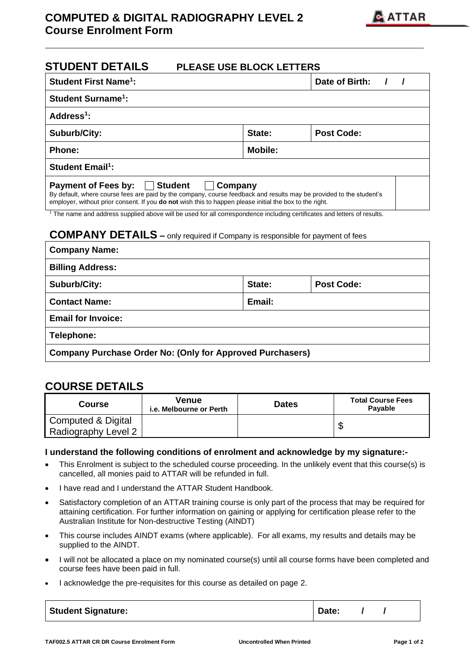## **COMPUTED & DIGITAL RADIOGRAPHY LEVEL 2 Course Enrolment Form**



| <b>STUDENT DETAILS</b><br><b>PLEASE USE BLOCK LETTERS</b>                                                                                                                                                                                                                                                        |        |                   |  |  |  |  |  |  |  |  |
|------------------------------------------------------------------------------------------------------------------------------------------------------------------------------------------------------------------------------------------------------------------------------------------------------------------|--------|-------------------|--|--|--|--|--|--|--|--|
| <b>Student First Name<sup>1</sup>:</b>                                                                                                                                                                                                                                                                           |        | Date of Birth:    |  |  |  |  |  |  |  |  |
| Student Surname <sup>1</sup> :                                                                                                                                                                                                                                                                                   |        |                   |  |  |  |  |  |  |  |  |
| Address <sup>1</sup> :                                                                                                                                                                                                                                                                                           |        |                   |  |  |  |  |  |  |  |  |
| <b>Suburb/City:</b>                                                                                                                                                                                                                                                                                              | State: | <b>Post Code:</b> |  |  |  |  |  |  |  |  |
| Phone:                                                                                                                                                                                                                                                                                                           |        |                   |  |  |  |  |  |  |  |  |
| <b>Student Email<sup>1</sup>:</b>                                                                                                                                                                                                                                                                                |        |                   |  |  |  |  |  |  |  |  |
| <b>Student</b><br><b>Payment of Fees by:</b><br>Company<br>$\mathbf{L}$<br>By default, where course fees are paid by the company, course feedback and results may be provided to the student's<br>employer, without prior consent. If you <b>do not</b> wish this to happen please initial the box to the right. |        |                   |  |  |  |  |  |  |  |  |

**\_\_\_\_\_\_\_\_\_\_\_\_\_\_\_\_\_\_\_\_\_\_\_\_\_\_\_\_\_\_\_\_\_\_\_\_\_\_\_\_\_\_\_\_\_\_\_\_\_\_\_\_\_\_\_\_\_\_\_\_\_**

<sup>1</sup> The name and address supplied above will be used for all correspondence including certificates and letters of results.

## **COMPANY DETAILS –** only required if Company is responsible for payment of fees

| <b>Company Name:</b>                                             |        |            |  |  |  |  |  |
|------------------------------------------------------------------|--------|------------|--|--|--|--|--|
| <b>Billing Address:</b>                                          |        |            |  |  |  |  |  |
| Suburb/City:                                                     | State: | Post Code: |  |  |  |  |  |
| <b>Contact Name:</b>                                             | Email: |            |  |  |  |  |  |
| <b>Email for Invoice:</b>                                        |        |            |  |  |  |  |  |
| Telephone:                                                       |        |            |  |  |  |  |  |
| <b>Company Purchase Order No: (Only for Approved Purchasers)</b> |        |            |  |  |  |  |  |

## **COURSE DETAILS**

| Course                                    | Venue<br>i.e. Melbourne or Perth | <b>Dates</b> | <b>Total Course Fees</b><br>Payable |  |  |  |  |
|-------------------------------------------|----------------------------------|--------------|-------------------------------------|--|--|--|--|
| Computed & Digital<br>Radiography Level 2 |                                  |              |                                     |  |  |  |  |

## **I understand the following conditions of enrolment and acknowledge by my signature:-**

- This Enrolment is subject to the scheduled course proceeding. In the unlikely event that this course(s) is cancelled, all monies paid to ATTAR will be refunded in full.
- I have read and I understand the ATTAR Student Handbook.
- Satisfactory completion of an ATTAR training course is only part of the process that may be required for attaining certification. For further information on gaining or applying for certification please refer to the Australian Institute for Non-destructive Testing (AINDT)
- This course includes AINDT exams (where applicable). For all exams, my results and details may be supplied to the AINDT.
- I will not be allocated a place on my nominated course(s) until all course forms have been completed and course fees have been paid in full.
- I acknowledge the pre-requisites for this course as detailed on page 2.

| <b>Student Signature:</b> | Date: |  |  |
|---------------------------|-------|--|--|
|---------------------------|-------|--|--|